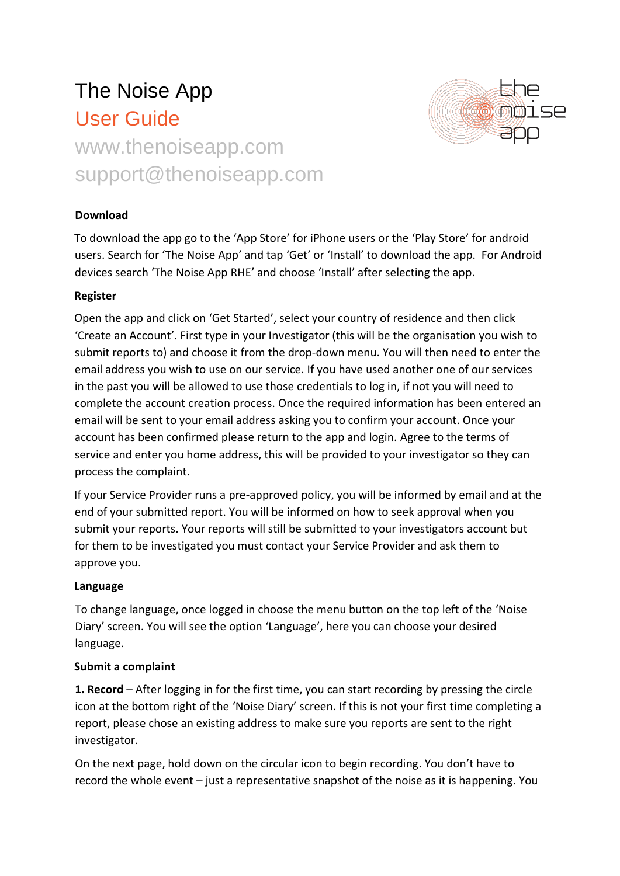# The Noise App User Guide www.thenoiseapp.com

support@thenoiseapp.com



## **Download**

To download the app go to the 'App Store' for iPhone users or the 'Play Store' for android users. Search for 'The Noise App' and tap 'Get' or 'Install' to download the app. For Android devices search 'The Noise App RHE' and choose 'Install' after selecting the app.

### **Register**

Open the app and click on 'Get Started', select your country of residence and then click 'Create an Account'. First type in your Investigator (this will be the organisation you wish to submit reports to) and choose it from the drop-down menu. You will then need to enter the email address you wish to use on our service. If you have used another one of our services in the past you will be allowed to use those credentials to log in, if not you will need to complete the account creation process. Once the required information has been entered an email will be sent to your email address asking you to confirm your account. Once your account has been confirmed please return to the app and login. Agree to the terms of service and enter you home address, this will be provided to your investigator so they can process the complaint.

If your Service Provider runs a pre-approved policy, you will be informed by email and at the end of your submitted report. You will be informed on how to seek approval when you submit your reports. Your reports will still be submitted to your investigators account but for them to be investigated you must contact your Service Provider and ask them to approve you.

### **Language**

To change language, once logged in choose the menu button on the top left of the 'Noise Diary' screen. You will see the option 'Language', here you can choose your desired language.

### **Submit a complaint**

**1. Record** – After logging in for the first time, you can start recording by pressing the circle icon at the bottom right of the 'Noise Diary' screen. If this is not your first time completing a report, please chose an existing address to make sure you reports are sent to the right investigator.

On the next page, hold down on the circular icon to begin recording. You don't have to record the whole event – just a representative snapshot of the noise as it is happening. You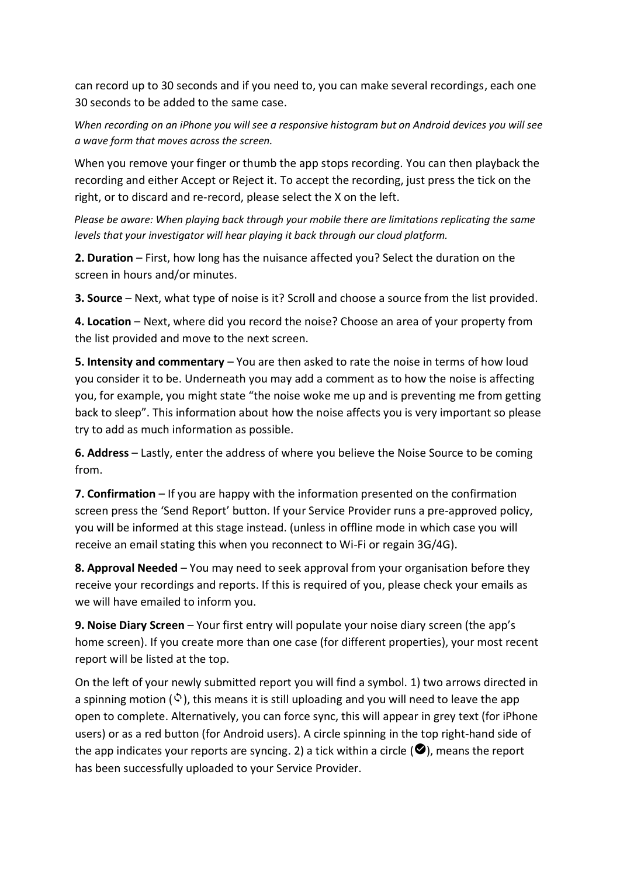can record up to 30 seconds and if you need to, you can make several recordings, each one 30 seconds to be added to the same case.

*When recording on an iPhone you will see a responsive histogram but on Android devices you will see a wave form that moves across the screen.*

When you remove your finger or thumb the app stops recording. You can then playback the recording and either Accept or Reject it. To accept the recording, just press the tick on the right, or to discard and re-record, please select the X on the left.

*Please be aware: When playing back through your mobile there are limitations replicating the same levels that your investigator will hear playing it back through our cloud platform.* 

**2. Duration** – First, how long has the nuisance affected you? Select the duration on the screen in hours and/or minutes.

**3. Source** – Next, what type of noise is it? Scroll and choose a source from the list provided.

**4. Location** – Next, where did you record the noise? Choose an area of your property from the list provided and move to the next screen.

**5. Intensity and commentary** – You are then asked to rate the noise in terms of how loud you consider it to be. Underneath you may add a comment as to how the noise is affecting you, for example, you might state "the noise woke me up and is preventing me from getting back to sleep". This information about how the noise affects you is very important so please try to add as much information as possible.

**6. Address** – Lastly, enter the address of where you believe the Noise Source to be coming from.

**7. Confirmation** – If you are happy with the information presented on the confirmation screen press the 'Send Report' button. If your Service Provider runs a pre-approved policy, you will be informed at this stage instead. (unless in offline mode in which case you will receive an email stating this when you reconnect to Wi-Fi or regain 3G/4G).

**8. Approval Needed** – You may need to seek approval from your organisation before they receive your recordings and reports. If this is required of you, please check your emails as we will have emailed to inform you.

**9. Noise Diary Screen** – Your first entry will populate your noise diary screen (the app's home screen). If you create more than one case (for different properties), your most recent report will be listed at the top.

On the left of your newly submitted report you will find a symbol. 1) two arrows directed in a spinning motion ( $\hat{\varphi}$ ), this means it is still uploading and you will need to leave the app open to complete. Alternatively, you can force sync, this will appear in grey text (for iPhone users) or as a red button (for Android users). A circle spinning in the top right-hand side of the app indicates your reports are syncing. 2) a tick within a circle  $\langle \bullet \rangle$ , means the report has been successfully uploaded to your Service Provider.